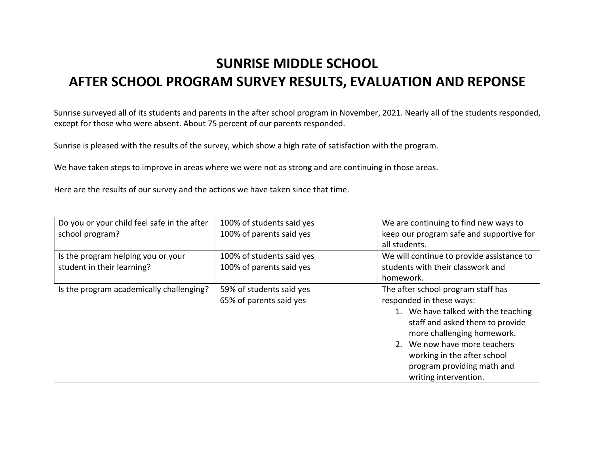## SUNRISE MIDDLE SCHOOL AFTER SCHOOL PROGRAM SURVEY RESULTS, EVALUATION AND REPONSE

Sunrise surveyed all of its students and parents in the after school program in November, 2021. Nearly all of the students responded, except for those who were absent. About 75 percent of our parents responded.

Sunrise is pleased with the results of the survey, which show a high rate of satisfaction with the program.

We have taken steps to improve in areas where we were not as strong and are continuing in those areas.

Here are the results of our survey and the actions we have taken since that time.

| Do you or your child feel safe in the after | 100% of students said yes | We are continuing to find new ways to     |
|---------------------------------------------|---------------------------|-------------------------------------------|
| school program?                             | 100% of parents said yes  | keep our program safe and supportive for  |
|                                             |                           | all students.                             |
| Is the program helping you or your          | 100% of students said yes | We will continue to provide assistance to |
| student in their learning?                  | 100% of parents said yes  | students with their classwork and         |
|                                             |                           | homework.                                 |
| Is the program academically challenging?    | 59% of students said yes  | The after school program staff has        |
|                                             | 65% of parents said yes   | responded in these ways:                  |
|                                             |                           | 1. We have talked with the teaching       |
|                                             |                           | staff and asked them to provide           |
|                                             |                           | more challenging homework.                |
|                                             |                           | 2. We now have more teachers              |
|                                             |                           | working in the after school               |
|                                             |                           | program providing math and                |
|                                             |                           | writing intervention.                     |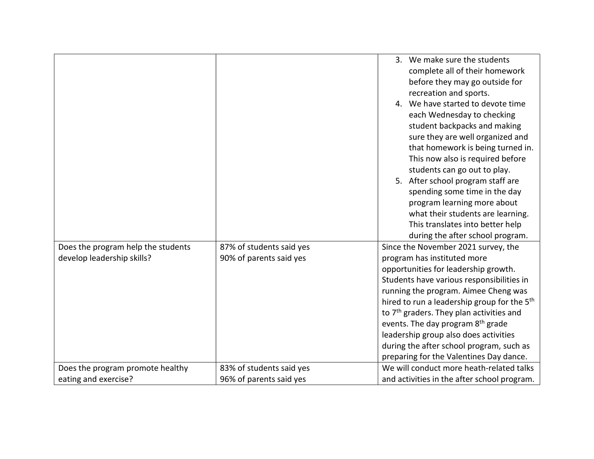| complete all of their homework<br>before they may go outside for<br>recreation and sports.<br>4. We have started to devote time<br>each Wednesday to checking<br>student backpacks and making<br>sure they are well organized and<br>that homework is being turned in.<br>This now also is required before<br>students can go out to play.<br>5. After school program staff are<br>spending some time in the day<br>program learning more about<br>what their students are learning.<br>This translates into better help<br>during the after school program.<br>Does the program help the students<br>87% of students said yes<br>Since the November 2021 survey, the<br>develop leadership skills?<br>90% of parents said yes<br>program has instituted more<br>opportunities for leadership growth.<br>Students have various responsibilities in<br>running the program. Aimee Cheng was<br>hired to run a leadership group for the 5 <sup>th</sup><br>to 7 <sup>th</sup> graders. They plan activities and<br>events. The day program 8 <sup>th</sup> grade |  |                                       |
|----------------------------------------------------------------------------------------------------------------------------------------------------------------------------------------------------------------------------------------------------------------------------------------------------------------------------------------------------------------------------------------------------------------------------------------------------------------------------------------------------------------------------------------------------------------------------------------------------------------------------------------------------------------------------------------------------------------------------------------------------------------------------------------------------------------------------------------------------------------------------------------------------------------------------------------------------------------------------------------------------------------------------------------------------------------|--|---------------------------------------|
|                                                                                                                                                                                                                                                                                                                                                                                                                                                                                                                                                                                                                                                                                                                                                                                                                                                                                                                                                                                                                                                                |  | 3. We make sure the students          |
|                                                                                                                                                                                                                                                                                                                                                                                                                                                                                                                                                                                                                                                                                                                                                                                                                                                                                                                                                                                                                                                                |  |                                       |
|                                                                                                                                                                                                                                                                                                                                                                                                                                                                                                                                                                                                                                                                                                                                                                                                                                                                                                                                                                                                                                                                |  |                                       |
|                                                                                                                                                                                                                                                                                                                                                                                                                                                                                                                                                                                                                                                                                                                                                                                                                                                                                                                                                                                                                                                                |  |                                       |
|                                                                                                                                                                                                                                                                                                                                                                                                                                                                                                                                                                                                                                                                                                                                                                                                                                                                                                                                                                                                                                                                |  |                                       |
|                                                                                                                                                                                                                                                                                                                                                                                                                                                                                                                                                                                                                                                                                                                                                                                                                                                                                                                                                                                                                                                                |  |                                       |
|                                                                                                                                                                                                                                                                                                                                                                                                                                                                                                                                                                                                                                                                                                                                                                                                                                                                                                                                                                                                                                                                |  |                                       |
|                                                                                                                                                                                                                                                                                                                                                                                                                                                                                                                                                                                                                                                                                                                                                                                                                                                                                                                                                                                                                                                                |  |                                       |
|                                                                                                                                                                                                                                                                                                                                                                                                                                                                                                                                                                                                                                                                                                                                                                                                                                                                                                                                                                                                                                                                |  |                                       |
|                                                                                                                                                                                                                                                                                                                                                                                                                                                                                                                                                                                                                                                                                                                                                                                                                                                                                                                                                                                                                                                                |  |                                       |
|                                                                                                                                                                                                                                                                                                                                                                                                                                                                                                                                                                                                                                                                                                                                                                                                                                                                                                                                                                                                                                                                |  |                                       |
|                                                                                                                                                                                                                                                                                                                                                                                                                                                                                                                                                                                                                                                                                                                                                                                                                                                                                                                                                                                                                                                                |  |                                       |
|                                                                                                                                                                                                                                                                                                                                                                                                                                                                                                                                                                                                                                                                                                                                                                                                                                                                                                                                                                                                                                                                |  |                                       |
|                                                                                                                                                                                                                                                                                                                                                                                                                                                                                                                                                                                                                                                                                                                                                                                                                                                                                                                                                                                                                                                                |  |                                       |
|                                                                                                                                                                                                                                                                                                                                                                                                                                                                                                                                                                                                                                                                                                                                                                                                                                                                                                                                                                                                                                                                |  |                                       |
|                                                                                                                                                                                                                                                                                                                                                                                                                                                                                                                                                                                                                                                                                                                                                                                                                                                                                                                                                                                                                                                                |  |                                       |
|                                                                                                                                                                                                                                                                                                                                                                                                                                                                                                                                                                                                                                                                                                                                                                                                                                                                                                                                                                                                                                                                |  |                                       |
|                                                                                                                                                                                                                                                                                                                                                                                                                                                                                                                                                                                                                                                                                                                                                                                                                                                                                                                                                                                                                                                                |  |                                       |
|                                                                                                                                                                                                                                                                                                                                                                                                                                                                                                                                                                                                                                                                                                                                                                                                                                                                                                                                                                                                                                                                |  |                                       |
|                                                                                                                                                                                                                                                                                                                                                                                                                                                                                                                                                                                                                                                                                                                                                                                                                                                                                                                                                                                                                                                                |  |                                       |
|                                                                                                                                                                                                                                                                                                                                                                                                                                                                                                                                                                                                                                                                                                                                                                                                                                                                                                                                                                                                                                                                |  |                                       |
|                                                                                                                                                                                                                                                                                                                                                                                                                                                                                                                                                                                                                                                                                                                                                                                                                                                                                                                                                                                                                                                                |  |                                       |
|                                                                                                                                                                                                                                                                                                                                                                                                                                                                                                                                                                                                                                                                                                                                                                                                                                                                                                                                                                                                                                                                |  |                                       |
|                                                                                                                                                                                                                                                                                                                                                                                                                                                                                                                                                                                                                                                                                                                                                                                                                                                                                                                                                                                                                                                                |  |                                       |
|                                                                                                                                                                                                                                                                                                                                                                                                                                                                                                                                                                                                                                                                                                                                                                                                                                                                                                                                                                                                                                                                |  |                                       |
|                                                                                                                                                                                                                                                                                                                                                                                                                                                                                                                                                                                                                                                                                                                                                                                                                                                                                                                                                                                                                                                                |  | leadership group also does activities |
| during the after school program, such as                                                                                                                                                                                                                                                                                                                                                                                                                                                                                                                                                                                                                                                                                                                                                                                                                                                                                                                                                                                                                       |  |                                       |
| preparing for the Valentines Day dance.                                                                                                                                                                                                                                                                                                                                                                                                                                                                                                                                                                                                                                                                                                                                                                                                                                                                                                                                                                                                                        |  |                                       |
| We will conduct more heath-related talks<br>Does the program promote healthy<br>83% of students said yes                                                                                                                                                                                                                                                                                                                                                                                                                                                                                                                                                                                                                                                                                                                                                                                                                                                                                                                                                       |  |                                       |
| eating and exercise?<br>96% of parents said yes<br>and activities in the after school program.                                                                                                                                                                                                                                                                                                                                                                                                                                                                                                                                                                                                                                                                                                                                                                                                                                                                                                                                                                 |  |                                       |